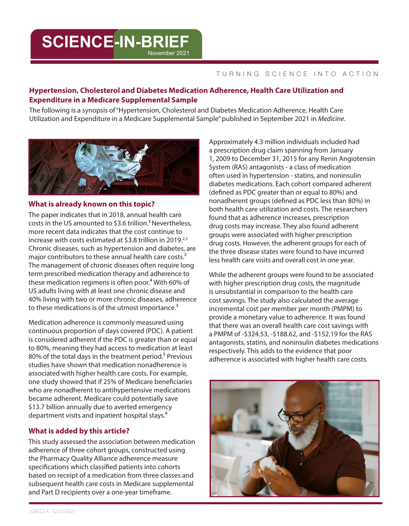# **SCIENCE-IN-BRIEF** November 2021

#### TURNING SCIENCE INTO ACTION

# **Hypertension, Cholesterol and Diabetes Medication Adherence, Health Care Utilization and Expenditure in a Medicare Supplemental Sample**

The following is a synopsis of "Hypertension, Cholesterol and Diabetes Medication Adherence, Health Care Utilization and Expenditure in a Medicare Supplemental Sample" published in September 2021 in *Medicine*.



# **What is already known on this topic?**

The paper indicates that in 2018, annual health care costs in the US amounted to \$3.6 trillion.**<sup>1</sup>**Nevertheless, more recent data indicates that the cost continue to increase with costs estimated at \$3.8 trillion in 2019.<sup>2,3</sup> Chronic diseases, such as hypertension and diabetes, are major contributors to these annual health care costs.<sup>3</sup> The management of chronic diseases often require long term prescribed medication therapy and adherence to these medication regimens is often poor.<sup>4</sup> With 60% of US adults living with at least one chronic disease and 40% living with two or more chronic diseases, adherence to these medications is of the utmost importance.<sup>3</sup>

Medication adherence is commonly measured using continuous proportion of days covered (PDC). A patient is considered adherent if the PDC is greater than or equal to 80%, meaning they had access to medication at least 80% of the total days in the treatment period.<sup>5</sup> Previous studies have shown that medication nonadherence is associated with higher health care costs. For example, one study showed that if 25% of Medicare beneficiaries who are nonadherent to antihypertensive medications became adherent, Medicare could potentially save \$13.7 billion annually due to averted emergency department visits and inpatient hospital stays.<sup>6</sup>

# **What is added by this article?**

This study assessed the association between medication adherence of three cohort groups, constructed using the Pharmacy Quality Alliance adherence measure specifications which classified patients into cohorts based on receipt of a medication from three classes and subsequent health care costs in Medicare supplemental and Part D recipients over a one-year timeframe.

Approximately 4.3 million individuals included had a prescription drug claim spanning from January 1, 2009 to December 31, 2015 for any Renin Angiotensin System (RAS) antagonists - a class of medication often used in hypertension - statins, and noninsulin diabetes medications. Each cohort compared adherent (defined as PDC greater than or equal to 80%) and nonadherent groups (defined as PDC less than 80%) in both health care utilization and costs. The researchers found that as adherence increases, prescription drug costs may increase. They also found adherent groups were associated with higher prescription drug costs. However, the adherent groups for each of the three disease states were found to have incurred less health care visits and overall cost in one year.

While the adherent groups were found to be associated with higher prescription drug costs, the magnitude is unsubstantial in comparison to the health care cost savings. The study also calculated the average incremental cost per member per month (PMPM) to provide a monetary value to adherence. It was found that there was an overall health care cost savings with a PMPM of -\$324.53, -\$188.62, and -\$152.19 for the RAS antagonists, statins, and noninsulin diabetes medications respectively. This adds to the evidence that poor adherence is associated with higher health care costs.